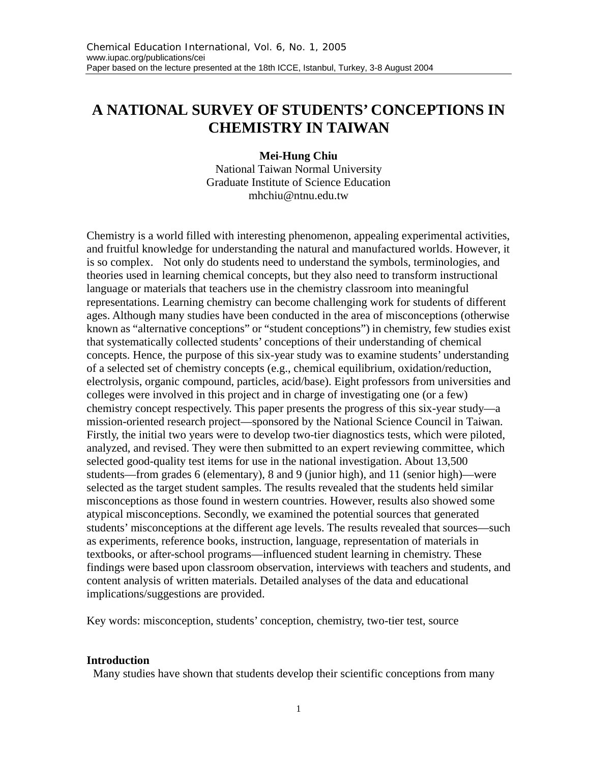# **A NATIONAL SURVEY OF STUDENTS' CONCEPTIONS IN CHEMISTRY IN TAIWAN**

#### **Mei-Hung Chiu**

National Taiwan Normal University Graduate Institute of Science Education mhchiu@ntnu.edu.tw

Chemistry is a world filled with interesting phenomenon, appealing experimental activities, and fruitful knowledge for understanding the natural and manufactured worlds. However, it is so complex. Not only do students need to understand the symbols, terminologies, and theories used in learning chemical concepts, but they also need to transform instructional language or materials that teachers use in the chemistry classroom into meaningful representations. Learning chemistry can become challenging work for students of different ages. Although many studies have been conducted in the area of misconceptions (otherwise known as "alternative conceptions" or "student conceptions") in chemistry, few studies exist that systematically collected students' conceptions of their understanding of chemical concepts. Hence, the purpose of this six-year study was to examine students' understanding of a selected set of chemistry concepts (e.g., chemical equilibrium, oxidation/reduction, electrolysis, organic compound, particles, acid/base). Eight professors from universities and colleges were involved in this project and in charge of investigating one (or a few) chemistry concept respectively. This paper presents the progress of this six-year study—a mission-oriented research project—sponsored by the National Science Council in Taiwan. Firstly, the initial two years were to develop two-tier diagnostics tests, which were piloted, analyzed, and revised. They were then submitted to an expert reviewing committee, which selected good-quality test items for use in the national investigation. About 13,500 students—from grades 6 (elementary), 8 and 9 (junior high), and 11 (senior high)—were selected as the target student samples. The results revealed that the students held similar misconceptions as those found in western countries. However, results also showed some atypical misconceptions. Secondly, we examined the potential sources that generated students' misconceptions at the different age levels. The results revealed that sources—such as experiments, reference books, instruction, language, representation of materials in textbooks, or after-school programs—influenced student learning in chemistry. These findings were based upon classroom observation, interviews with teachers and students, and content analysis of written materials. Detailed analyses of the data and educational implications/suggestions are provided.

Key words: misconception, students' conception, chemistry, two-tier test, source

#### **Introduction**

Many studies have shown that students develop their scientific conceptions from many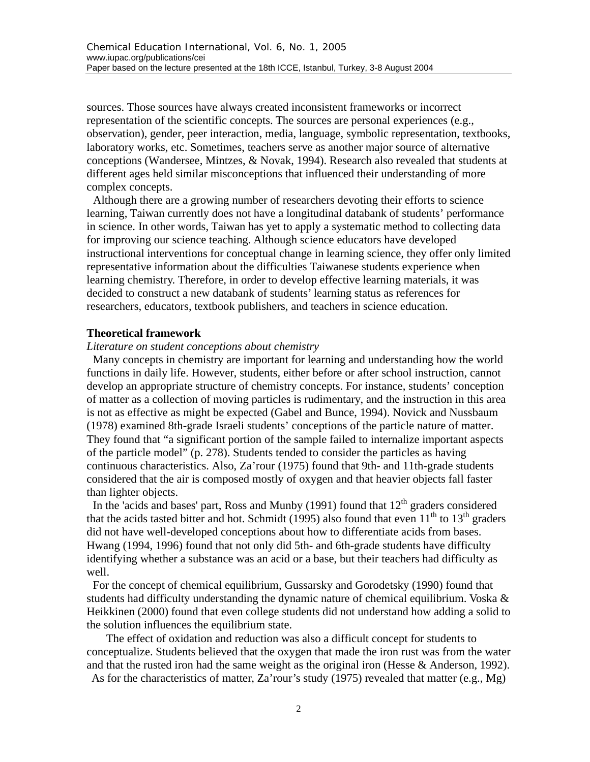sources. Those sources have always created inconsistent frameworks or incorrect representation of the scientific concepts. The sources are personal experiences (e.g., observation), gender, peer interaction, media, language, symbolic representation, textbooks, laboratory works, etc. Sometimes, teachers serve as another major source of alternative conceptions (Wandersee, Mintzes, & Novak, 1994). Research also revealed that students at different ages held similar misconceptions that influenced their understanding of more complex concepts.

Although there are a growing number of researchers devoting their efforts to science learning, Taiwan currently does not have a longitudinal databank of students' performance in science. In other words, Taiwan has yet to apply a systematic method to collecting data for improving our science teaching. Although science educators have developed instructional interventions for conceptual change in learning science, they offer only limited representative information about the difficulties Taiwanese students experience when learning chemistry. Therefore, in order to develop effective learning materials, it was decided to construct a new databank of students' learning status as references for researchers, educators, textbook publishers, and teachers in science education.

#### **Theoretical framework**

#### *Literature on student conceptions about chemistry*

Many concepts in chemistry are important for learning and understanding how the world functions in daily life. However, students, either before or after school instruction, cannot develop an appropriate structure of chemistry concepts. For instance, students' conception of matter as a collection of moving particles is rudimentary, and the instruction in this area is not as effective as might be expected (Gabel and Bunce, 1994). Novick and Nussbaum (1978) examined 8th-grade Israeli students' conceptions of the particle nature of matter. They found that "a significant portion of the sample failed to internalize important aspects of the particle model" (p. 278). Students tended to consider the particles as having continuous characteristics. Also, Za'rour (1975) found that 9th- and 11th-grade students considered that the air is composed mostly of oxygen and that heavier objects fall faster than lighter objects.

In the 'acids and bases' part, Ross and Munby (1991) found that  $12<sup>th</sup>$  graders considered that the acids tasted bitter and hot. Schmidt (1995) also found that even  $11<sup>th</sup>$  to  $13<sup>th</sup>$  graders did not have well-developed conceptions about how to differentiate acids from bases. Hwang (1994, 1996) found that not only did 5th- and 6th-grade students have difficulty identifying whether a substance was an acid or a base, but their teachers had difficulty as well.

For the concept of chemical equilibrium, Gussarsky and Gorodetsky (1990) found that students had difficulty understanding the dynamic nature of chemical equilibrium. Voska & Heikkinen (2000) found that even college students did not understand how adding a solid to the solution influences the equilibrium state.

The effect of oxidation and reduction was also a difficult concept for students to conceptualize. Students believed that the oxygen that made the iron rust was from the water and that the rusted iron had the same weight as the original iron (Hesse & Anderson, 1992).

As for the characteristics of matter, Za'rour's study (1975) revealed that matter (e.g., Mg)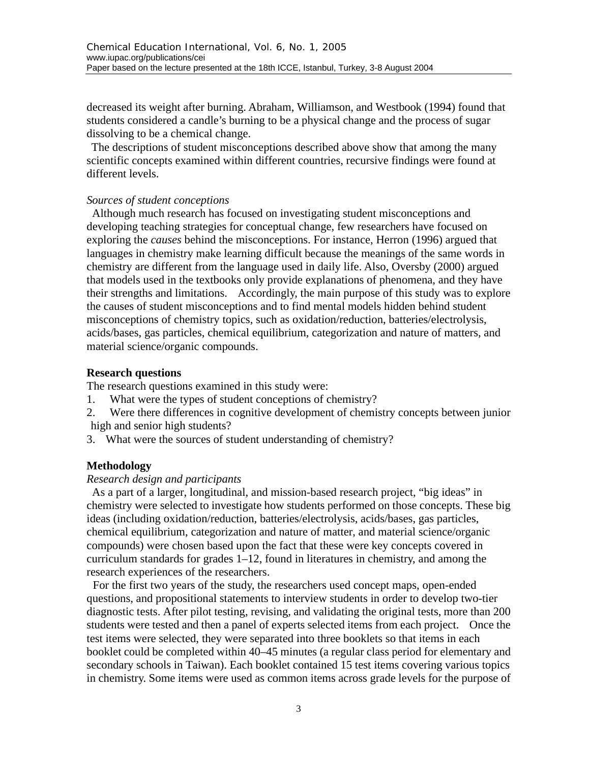decreased its weight after burning. Abraham, Williamson, and Westbook (1994) found that students considered a candle's burning to be a physical change and the process of sugar dissolving to be a chemical change.

The descriptions of student misconceptions described above show that among the many scientific concepts examined within different countries, recursive findings were found at different levels.

## *Sources of student conceptions*

Although much research has focused on investigating student misconceptions and developing teaching strategies for conceptual change, few researchers have focused on exploring the *causes* behind the misconceptions. For instance, Herron (1996) argued that languages in chemistry make learning difficult because the meanings of the same words in chemistry are different from the language used in daily life. Also, Oversby (2000) argued that models used in the textbooks only provide explanations of phenomena, and they have their strengths and limitations. Accordingly, the main purpose of this study was to explore the causes of student misconceptions and to find mental models hidden behind student misconceptions of chemistry topics, such as oxidation/reduction, batteries/electrolysis, acids/bases, gas particles, chemical equilibrium, categorization and nature of matters, and material science/organic compounds.

## **Research questions**

The research questions examined in this study were:

- 1. What were the types of student conceptions of chemistry?
- 2. Were there differences in cognitive development of chemistry concepts between junior high and senior high students?
- 3. What were the sources of student understanding of chemistry?

## **Methodology**

## *Research design and participants*

As a part of a larger, longitudinal, and mission-based research project, "big ideas" in chemistry were selected to investigate how students performed on those concepts. These big ideas (including oxidation/reduction, batteries/electrolysis, acids/bases, gas particles, chemical equilibrium, categorization and nature of matter, and material science/organic compounds) were chosen based upon the fact that these were key concepts covered in curriculum standards for grades 1–12, found in literatures in chemistry, and among the research experiences of the researchers.

For the first two years of the study, the researchers used concept maps, open-ended questions, and propositional statements to interview students in order to develop two-tier diagnostic tests. After pilot testing, revising, and validating the original tests, more than 200 students were tested and then a panel of experts selected items from each project. Once the test items were selected, they were separated into three booklets so that items in each booklet could be completed within 40–45 minutes (a regular class period for elementary and secondary schools in Taiwan). Each booklet contained 15 test items covering various topics in chemistry. Some items were used as common items across grade levels for the purpose of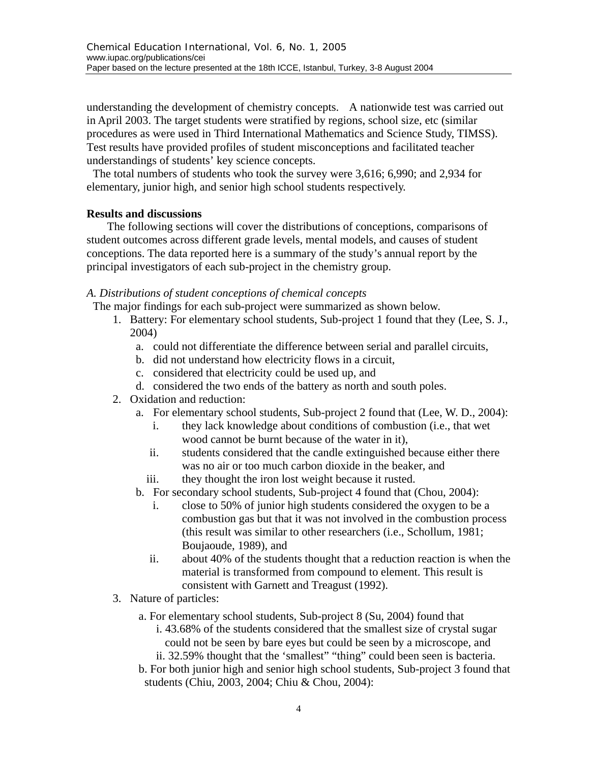understanding the development of chemistry concepts. A nationwide test was carried out in April 2003. The target students were stratified by regions, school size, etc (similar procedures as were used in Third International Mathematics and Science Study, TIMSS). Test results have provided profiles of student misconceptions and facilitated teacher understandings of students' key science concepts.

The total numbers of students who took the survey were 3,616; 6,990; and 2,934 for elementary, junior high, and senior high school students respectively.

## **Results and discussions**

The following sections will cover the distributions of conceptions, comparisons of student outcomes across different grade levels, mental models, and causes of student conceptions. The data reported here is a summary of the study's annual report by the principal investigators of each sub-project in the chemistry group.

#### *A. Distributions of student conceptions of chemical concepts*

The major findings for each sub-project were summarized as shown below.

- 1. Battery: For elementary school students, Sub-project 1 found that they (Lee, S. J., 2004)
	- a. could not differentiate the difference between serial and parallel circuits,
	- b. did not understand how electricity flows in a circuit,
	- c. considered that electricity could be used up, and
	- d. considered the two ends of the battery as north and south poles.
- 2. Oxidation and reduction:
	- a. For elementary school students, Sub-project 2 found that (Lee, W. D., 2004):
		- i. they lack knowledge about conditions of combustion (i.e., that wet wood cannot be burnt because of the water in it),
		- ii. students considered that the candle extinguished because either there was no air or too much carbon dioxide in the beaker, and
		- iii. they thought the iron lost weight because it rusted.
	- b. For secondary school students, Sub-project 4 found that (Chou, 2004):
		- i. close to 50% of junior high students considered the oxygen to be a combustion gas but that it was not involved in the combustion process (this result was similar to other researchers (i.e., Schollum, 1981; Boujaoude, 1989), and
		- ii. about 40% of the students thought that a reduction reaction is when the material is transformed from compound to element. This result is consistent with Garnett and Treagust (1992).
- 3. Nature of particles:
	- a. For elementary school students, Sub-project 8 (Su, 2004) found that i. 43.68% of the students considered that the smallest size of crystal sugar
		- could not be seen by bare eyes but could be seen by a microscope, and ii. 32.59% thought that the 'smallest" "thing" could been seen is bacteria.
	- b. For both junior high and senior high school students, Sub-project 3 found that students (Chiu, 2003, 2004; Chiu & Chou, 2004):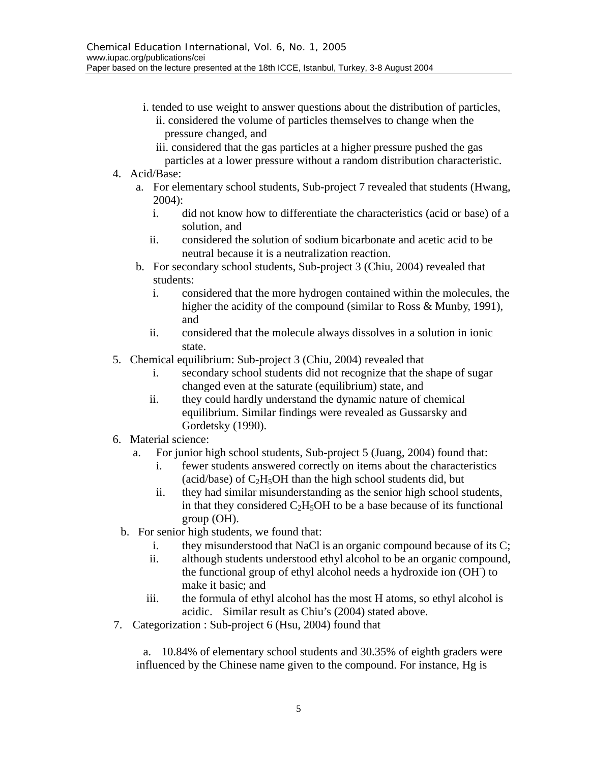- i. tended to use weight to answer questions about the distribution of particles, ii. considered the volume of particles themselves to change when the pressure changed, and
	- iii. considered that the gas particles at a higher pressure pushed the gas
	- particles at a lower pressure without a random distribution characteristic.
- 4. Acid/Base:
	- a. For elementary school students, Sub-project 7 revealed that students (Hwang, 2004):
		- i. did not know how to differentiate the characteristics (acid or base) of a solution, and
		- ii. considered the solution of sodium bicarbonate and acetic acid to be neutral because it is a neutralization reaction.
	- b. For secondary school students, Sub-project 3 (Chiu, 2004) revealed that students:
		- i. considered that the more hydrogen contained within the molecules, the higher the acidity of the compound (similar to Ross & Munby, 1991), and
		- ii. considered that the molecule always dissolves in a solution in ionic state.
- 5. Chemical equilibrium: Sub-project 3 (Chiu, 2004) revealed that
	- i. secondary school students did not recognize that the shape of sugar changed even at the saturate (equilibrium) state, and
	- ii. they could hardly understand the dynamic nature of chemical equilibrium. Similar findings were revealed as Gussarsky and Gordetsky (1990).
- 6. Material science:
	- a. For junior high school students, Sub-project 5 (Juang, 2004) found that:
		- i. fewer students answered correctly on items about the characteristics (acid/base) of  $C_2H_5OH$  than the high school students did, but
		- ii. they had similar misunderstanding as the senior high school students, in that they considered  $C_2H_5OH$  to be a base because of its functional group (OH).
	- b. For senior high students, we found that:
		- i. they misunderstood that NaCl is an organic compound because of its C;
		- ii. although students understood ethyl alcohol to be an organic compound, the functional group of ethyl alcohol needs a hydroxide ion (OH- ) to make it basic; and
		- iii. the formula of ethyl alcohol has the most H atoms, so ethyl alcohol is acidic. Similar result as Chiu's (2004) stated above.
- 7. Categorization : Sub-project 6 (Hsu, 2004) found that

 a. 10.84% of elementary school students and 30.35% of eighth graders were influenced by the Chinese name given to the compound. For instance, Hg is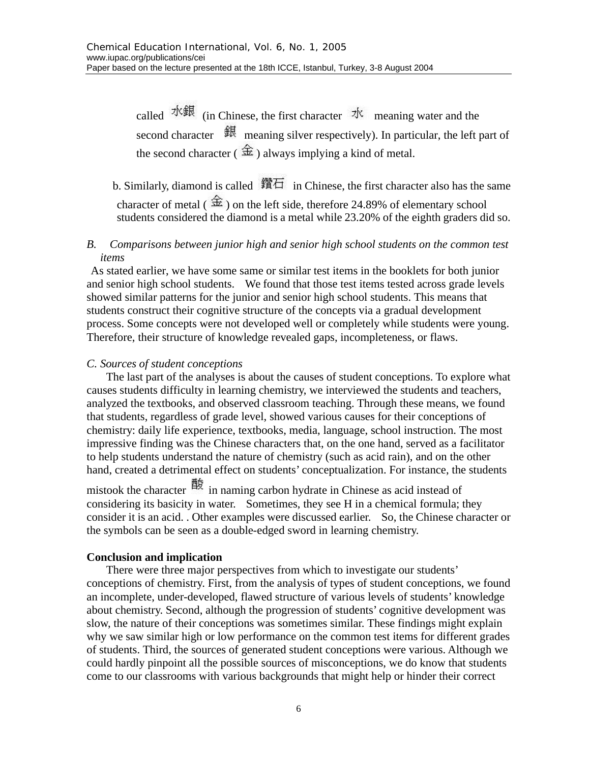called  $\mathcal{H}$   $\mathcal{H}$  (in Chinese, the first character  $\mathcal{H}$  meaning water and the second character  $\frac{d}{dx}$  meaning silver respectively). In particular, the left part of the second character ( $\hat{\pm}$ ) always implying a kind of metal.

b. Similarly, diamond is called  $\mathbb{H}$  in Chinese, the first character also has the same character of metal ( $\hat{\pm}$ ) on the left side, therefore 24.89% of elementary school students considered the diamond is a metal while 23.20% of the eighth graders did so.

#### *B. Comparisons between junior high and senior high school students on the common test items*

As stated earlier, we have some same or similar test items in the booklets for both junior and senior high school students. We found that those test items tested across grade levels showed similar patterns for the junior and senior high school students. This means that students construct their cognitive structure of the concepts via a gradual development process. Some concepts were not developed well or completely while students were young. Therefore, their structure of knowledge revealed gaps, incompleteness, or flaws.

#### *C. Sources of student conceptions*

The last part of the analyses is about the causes of student conceptions. To explore what causes students difficulty in learning chemistry, we interviewed the students and teachers, analyzed the textbooks, and observed classroom teaching. Through these means, we found that students, regardless of grade level, showed various causes for their conceptions of chemistry: daily life experience, textbooks, media, language, school instruction. The most impressive finding was the Chinese characters that, on the one hand, served as a facilitator to help students understand the nature of chemistry (such as acid rain), and on the other hand, created a detrimental effect on students' conceptualization. For instance, the students

mistook the character 酸 in naming carbon hydrate in Chinese as acid instead of considering its basicity in water. Sometimes, they see H in a chemical formula; they consider it is an acid. . Other examples were discussed earlier. So, the Chinese character or the symbols can be seen as a double-edged sword in learning chemistry.

#### **Conclusion and implication**

There were three major perspectives from which to investigate our students' conceptions of chemistry. First, from the analysis of types of student conceptions, we found an incomplete, under-developed, flawed structure of various levels of students' knowledge about chemistry. Second, although the progression of students' cognitive development was slow, the nature of their conceptions was sometimes similar. These findings might explain why we saw similar high or low performance on the common test items for different grades of students. Third, the sources of generated student conceptions were various. Although we could hardly pinpoint all the possible sources of misconceptions, we do know that students come to our classrooms with various backgrounds that might help or hinder their correct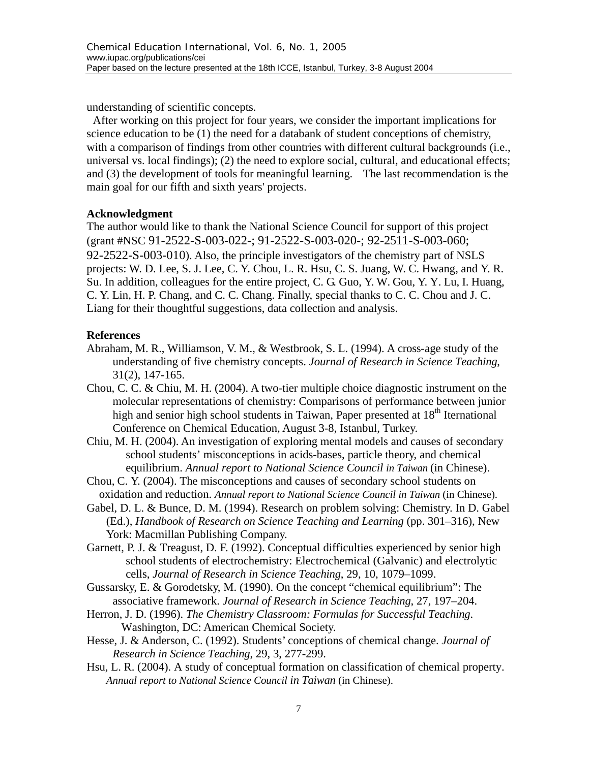understanding of scientific concepts.

After working on this project for four years, we consider the important implications for science education to be (1) the need for a databank of student conceptions of chemistry, with a comparison of findings from other countries with different cultural backgrounds (i.e., universal vs. local findings); (2) the need to explore social, cultural, and educational effects; and (3) the development of tools for meaningful learning. The last recommendation is the main goal for our fifth and sixth years' projects.

#### **Acknowledgment**

The author would like to thank the National Science Council for support of this project (grant #NSC 91-2522-S-003-022-; 91-2522-S-003-020-; 92-2511-S-003-060; 92-2522-S-003-010). Also, the principle investigators of the chemistry part of NSLS projects: W. D. Lee, S. J. Lee, C. Y. Chou, L. R. Hsu, C. S. Juang, W. C. Hwang, and Y. R. Su. In addition, colleagues for the entire project, C. G. Guo, Y. W. Gou, Y. Y. Lu, I. Huang, C. Y. Lin, H. P. Chang, and C. C. Chang. Finally, special thanks to C. C. Chou and J. C. Liang for their thoughtful suggestions, data collection and analysis.

## **References**

- Abraham, M. R., Williamson, V. M., & Westbrook, S. L. (1994). A cross-age study of the understanding of five chemistry concepts. *Journal of Research in Science Teaching*, 31(2), 147-165.
- Chou, C. C. & Chiu, M. H. (2004). A two-tier multiple choice diagnostic instrument on the molecular representations of chemistry: Comparisons of performance between junior high and senior high school students in Taiwan, Paper presented at  $18<sup>th</sup>$  Iternational Conference on Chemical Education, August 3-8, Istanbul, Turkey.
- Chiu, M. H. (2004). An investigation of exploring mental models and causes of secondary school students' misconceptions in acids-bases, particle theory, and chemical equilibrium. *Annual report to National Science Council in Taiwan* (in Chinese).
- Chou, C. Y. (2004). The misconceptions and causes of secondary school students on oxidation and reduction. *Annual report to National Science Council in Taiwan* (in Chinese).
- Gabel, D. L. & Bunce, D. M. (1994). Research on problem solving: Chemistry. In D. Gabel (Ed.), *Handbook of Research on Science Teaching and Learning* (pp. 301–316), New York: Macmillan Publishing Company.
- Garnett, P. J. & Treagust, D. F. (1992). Conceptual difficulties experienced by senior high school students of electrochemistry: Electrochemical (Galvanic) and electrolytic cells, *Journal of Research in Science Teaching*, 29, 10, 1079–1099.
- Gussarsky, E. & Gorodetsky, M. (1990). On the concept "chemical equilibrium": The associative framework. *Journal of Research in Science Teaching*, 27, 197–204.
- Herron, J. D. (1996). *The Chemistry Classroom: Formulas for Successful Teaching*. Washington, DC: American Chemical Society.
- Hesse, J. & Anderson, C. (1992). Students' conceptions of chemical change. *Journal of Research in Science Teaching*, 29, 3, 277-299.
- Hsu, L. R. (2004). A study of conceptual formation on classification of chemical property. *Annual report to National Science Council in Taiwan* (in Chinese).